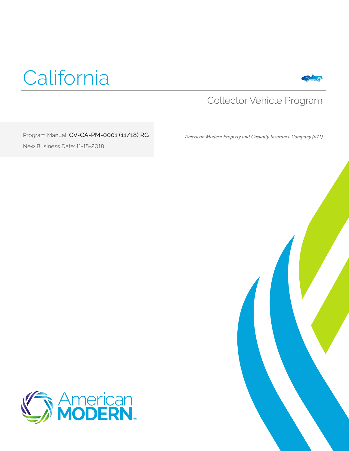



### Collector Vehicle Program

Program Manual: CV-CA-PM-0001 (11/18) RG New Business Date: 11-15-2018

 *American Modern Property and Casualty Insurance Company (071)*



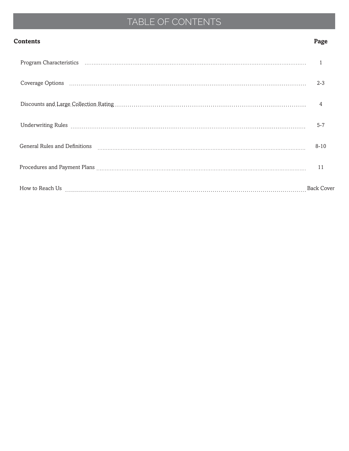## TABLE OF CONTENTS

#### **Contents Page**

|                               | $2 - 3$           |
|-------------------------------|-------------------|
|                               |                   |
|                               | $5 - 7$           |
| General Rules and Definitions | $8 - 10$          |
|                               | 11                |
|                               | <b>Back Cover</b> |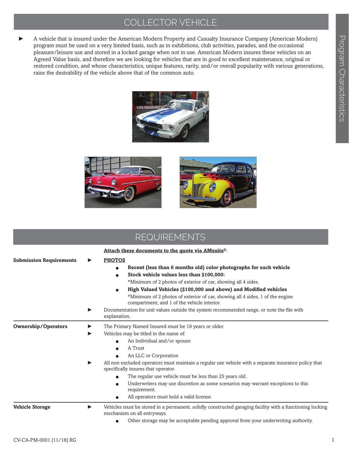### COLLECTOR VEHICLE

► A vehicle that is insured under the American Modern Property and Casualty Insurance Company (American Modern) program must be used on a very limited basis, such as in exhibitions, club activities, parades, and the occasional pleasure/leisure use and stored in a locked garage when not in use. American Modern insures these vehicles on an Agreed Value basis, and therefore we are looking for vehicles that are in good to excellent maintenance, original or restored condition, and whose characteristics, unique features, rarity, and/or overall popularity with various generations, raise the desirability of the vehicle above that of the common auto.





| <b>REQUIREMENTS</b>            |   |                                                                                                                                                                                                                                                                                                                                                                                                                                                                                                                                                                                      |
|--------------------------------|---|--------------------------------------------------------------------------------------------------------------------------------------------------------------------------------------------------------------------------------------------------------------------------------------------------------------------------------------------------------------------------------------------------------------------------------------------------------------------------------------------------------------------------------------------------------------------------------------|
| <b>Submission Requirements</b> |   | Attach these documents to the quote via AMsuite®:<br><b>PHOTOS</b><br>Recent (less than 6 months old) color photographs for each vehicle<br>Stock vehicle values less than \$100,000:<br>$\bullet$<br>*Minimum of 2 photos of exterior of car, showing all 4 sides.<br>High Valued Vehicles (\$100,000 and above) and Modified vehicles<br>*Minimum of 2 photos of exterior of car, showing all 4 sides, 1 of the engine<br>compartment, and 1 of the vehicle interior.<br>Documentation for unit values outside the system recommended range, or note the file with<br>explanation. |
| <b>Ownership/Operators</b>     | ▶ | The Primary Named Insured must be 18 years or older.<br>Vehicles may be titled in the name of:<br>An Individual and/or spouse<br>A Trust<br>An LLC or Corporation<br>All non excluded operators must maintain a regular use vehicle with a separate insurance policy that<br>specifically insures that operator.<br>The regular use vehicle must be less than 25 years old.<br>Underwriters may use discretion as some scenarios may warrant exceptions to this<br>requirement.<br>All operators must hold a valid license.                                                          |
| <b>Vehicle Storage</b>         | ▶ | Vehicles must be stored in a permanent, solidly constructed garaging facility with a functioning locking<br>mechanism on all entryways.<br>Other storage may be acceptable pending approval from your underwriting authority.                                                                                                                                                                                                                                                                                                                                                        |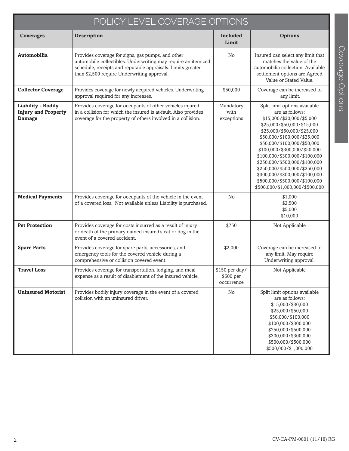| POLICY LEVEL COVERAGE OPTIONS                                            |                                                                                                                                                                                                                                  |                                           |                                                                                                                                                                                                                                                                                                                                                                                                                                                 |  |
|--------------------------------------------------------------------------|----------------------------------------------------------------------------------------------------------------------------------------------------------------------------------------------------------------------------------|-------------------------------------------|-------------------------------------------------------------------------------------------------------------------------------------------------------------------------------------------------------------------------------------------------------------------------------------------------------------------------------------------------------------------------------------------------------------------------------------------------|--|
| <b>Coverages</b>                                                         | <b>Description</b>                                                                                                                                                                                                               | <b>Included</b><br>Limit                  | <b>Options</b>                                                                                                                                                                                                                                                                                                                                                                                                                                  |  |
| Automobilia                                                              | Provides coverage for signs, gas pumps, and other<br>automobile collectibles. Underwriting may require an itemized<br>schedule, receipts and reputable appraisals. Limits greater<br>than \$2,500 require Underwriting approval. | No                                        | Insured can select any limit that<br>matches the value of the<br>automobilia collection. Available<br>settlement options are Agreed<br>Value or Stated Value.                                                                                                                                                                                                                                                                                   |  |
| <b>Collector Coverage</b>                                                | Provides coverage for newly acquired vehicles. Underwriting<br>approval required for any increases.                                                                                                                              | \$50,000                                  | Coverage can be increased to<br>any limit.                                                                                                                                                                                                                                                                                                                                                                                                      |  |
| <b>Liability - Bodily</b><br><b>Injury and Property</b><br><b>Damage</b> | Provides coverage for occupants of other vehicles injured<br>in a collision for which the insured is at-fault. Also provides<br>coverage for the property of others involved in a collision.                                     | Mandatory<br>with<br>exceptions           | Split limit options available<br>are as follows:<br>\$15,000/\$30,000/\$5,000<br>\$25,000/\$50,000/\$15,000<br>\$25,000/\$50,000/\$25,000<br>\$50,000/\$100,000/\$25,000<br>\$50,000/\$100,000/\$50,000<br>\$100,000/\$300,000/\$50,000<br>\$100,000/\$300,000/\$100,000<br>\$250,000/\$500,000/\$100,000<br>\$250,000/\$500,000/\$250,000<br>\$300,000/\$300,000/\$100,000<br>\$500,000/\$500,000/\$100,000<br>\$500,000/\$1,000,000/\$500,000 |  |
| <b>Medical Payments</b>                                                  | Provides coverage for occupants of the vehicle in the event<br>of a covered loss. Not available unless Liability is purchased.                                                                                                   | No                                        | \$1,000<br>\$2,500<br>\$5,000<br>\$10,000                                                                                                                                                                                                                                                                                                                                                                                                       |  |
| <b>Pet Protection</b>                                                    | Provides coverage for costs incurred as a result of injury<br>or death of the primary named insured's cat or dog in the<br>event of a covered accident.                                                                          | \$750                                     | Not Applicable                                                                                                                                                                                                                                                                                                                                                                                                                                  |  |
| <b>Spare Parts</b>                                                       | Provides coverage for spare parts, accessories, and<br>emergency tools for the covered vehicle during a<br>comprehensive or collision covered event.                                                                             | \$2,000                                   | Coverage can be increased to<br>any limit. May require<br>Underwriting approval.                                                                                                                                                                                                                                                                                                                                                                |  |
| <b>Travel Loss</b>                                                       | Provides coverage for transportation, lodging, and meal<br>expense as a result of disablement of the insured vehicle.                                                                                                            | \$150 per day/<br>\$600 per<br>occurrence | Not Applicable                                                                                                                                                                                                                                                                                                                                                                                                                                  |  |
| <b>Uninsured Motorist</b>                                                | Provides bodily injury coverage in the event of a covered<br>collision with an uninsured driver.                                                                                                                                 | No                                        | Split limit options available<br>are as follows:<br>\$15,000/\$30,000<br>\$25,000/\$50,000<br>\$50,000/\$100,000<br>\$100,000/\$300,000<br>\$250,000/\$500,000<br>\$300,000/\$300,000<br>\$500,000/\$500,000<br>\$500,000/\$1,000,000                                                                                                                                                                                                           |  |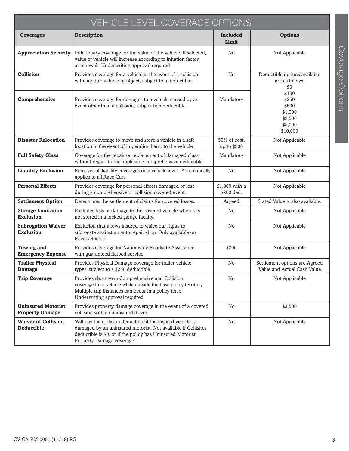| VEHICLE LEVEL COVERAGE OPTIONS                      |                                                                                                                                                                                                                        |                              |                                                                      |
|-----------------------------------------------------|------------------------------------------------------------------------------------------------------------------------------------------------------------------------------------------------------------------------|------------------------------|----------------------------------------------------------------------|
| <b>Coverages</b>                                    | <b>Description</b>                                                                                                                                                                                                     | Included<br>Limit            | <b>Options</b>                                                       |
| <b>Appreciation Security</b>                        | Inflationary coverage for the value of the vehicle. If selected,<br>value of vehicle will increase according to inflation factor<br>at renewal. Underwriting approval required.                                        | No                           | Not Applicable                                                       |
| Collision                                           | Provides coverage for a vehicle in the event of a collision<br>with another vehicle or object, subject to a deductible.                                                                                                | No                           | Deductible options available<br>are as follows:<br>\$0               |
| Comprehensive                                       | Provides coverage for damages to a vehicle caused by an<br>event other than a collision, subject to a deductible.                                                                                                      | Mandatory                    | \$100<br>\$250<br>\$500<br>\$1,000<br>\$2,500<br>\$5,000<br>\$10,000 |
| <b>Disaster Relocation</b>                          | Provides coverage to move and store a vehicle in a safe<br>location in the event of impending harm to the vehicle.                                                                                                     | 50% of cost,<br>up to \$200  | Not Applicable                                                       |
| <b>Full Safety Glass</b>                            | Coverage for the repair or replacement of damaged glass<br>without regard to the applicable comprehensive deductible.                                                                                                  | Mandatory                    | Not Applicable                                                       |
| <b>Liability Exclusion</b>                          | Removes all liability coverages on a vehicle level. Automatically<br>applies to all Race Cars.                                                                                                                         | No                           | Not Applicable                                                       |
| <b>Personal Effects</b>                             | Provides coverage for personal effects damaged or lost<br>during a comprehensive or collision covered event.                                                                                                           | \$1,000 with a<br>\$200 ded. | Not Applicable                                                       |
| <b>Settlement Option</b>                            | Determines the settlement of claims for covered losses.                                                                                                                                                                | Agreed                       | Stated Value is also available.                                      |
| <b>Storage Limitation</b><br><b>Exclusion</b>       | Excludes loss or damage to the covered vehicle when it is<br>not stored in a locked garage facility.                                                                                                                   | No                           | Not Applicable                                                       |
| <b>Subrogation Waiver</b><br><b>Exclusion</b>       | Exclusion that allows insured to waive our rights to<br>subrogate against an auto repair shop. Only available on<br>Race vehicles.                                                                                     | N <sub>o</sub>               | Not Applicable                                                       |
| <b>Towing and</b><br><b>Emergency Expense</b>       | Provides coverage for Nationwide Roadside Assistance<br>with guaranteed flatbed service.                                                                                                                               | \$200                        | Not Applicable                                                       |
| <b>Trailer Physical</b><br>Damage                   | Provides Physical Damage coverage for trailer vehicle<br>types, subject to a \$250 deductible.                                                                                                                         | No                           | Settlement options are Agreed<br>Value and Actual Cash Value.        |
| <b>Trip Coverage</b>                                | Provides short term Comprehensive and Collision<br>coverage for a vehicle while outside the base policy territory.<br>Multiple trip instances can occur in a policy term.<br>Underwriting approval required.           | No                           | Not Applicable                                                       |
| <b>Uninsured Motorist</b><br><b>Property Damage</b> | Provides property damage coverage in the event of a covered<br>collision with an uninsured driver.                                                                                                                     | No                           | \$3,500                                                              |
| <b>Waiver of Collision</b><br><b>Deductible</b>     | Will pay the collision deductible if the insured vehicle is<br>damaged by an uninsured motorist. Not available if Collision<br>deductible is \$0, or if the policy has Uninsured Motorist<br>Property Damage coverage. | No                           | Not Applicable                                                       |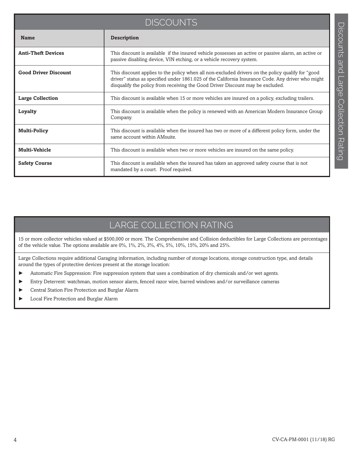| <b>DISCOUNTS</b>            |                                                                                                                                                                                                                                                                                           |  |
|-----------------------------|-------------------------------------------------------------------------------------------------------------------------------------------------------------------------------------------------------------------------------------------------------------------------------------------|--|
| <b>Name</b>                 | <b>Description</b>                                                                                                                                                                                                                                                                        |  |
| <b>Anti-Theft Devices</b>   | This discount is available if the insured vehicle possesses an active or passive alarm, an active or<br>passive disabling device, VIN etching, or a vehicle recovery system.                                                                                                              |  |
| <b>Good Driver Discount</b> | This discount applies to the policy when all non-excluded drivers on the policy qualify for "good"<br>driver" status as specified under 1861.025 of the California Insurance Code. Any driver who might<br>disqualify the policy from receiving the Good Driver Discount may be excluded. |  |
| <b>Large Collection</b>     | This discount is available when 15 or more vehicles are insured on a policy, excluding trailers.                                                                                                                                                                                          |  |
| Loyalty                     | This discount is available when the policy is renewed with an American Modern Insurance Group<br>Company.                                                                                                                                                                                 |  |
| <b>Multi-Policy</b>         | This discount is available when the insured has two or more of a different policy form, under the<br>same account within AMsuite.                                                                                                                                                         |  |
| <b>Multi-Vehicle</b>        | This discount is available when two or more vehicles are insured on the same policy.                                                                                                                                                                                                      |  |
| <b>Safety Course</b>        | This discount is available when the insured has taken an approved safety course that is not<br>mandated by a court. Proof required.                                                                                                                                                       |  |

### LARGE COLLECTION RATING

15 or more collector vehicles valued at \$500,000 or more. The Comprehensive and Collision deductibles for Large Collections are percentages of the vehicle value. The options available are 0%, 1%, 2%, 3%, 4%, 5%, 10%, 15%, 20% and 25%.

Large Collections require additional Garaging information, including number of storage locations, storage construction type, and details around the types of protective devices present at the storage location:

- ► Automatic Fire Suppression: Fire suppression system that uses a combination of dry chemicals and/or wet agents.
- ► Entry Deterrent: watchman, motion sensor alarm, fenced razor wire, barred windows and/or surveillance cameras
- ► Central Station Fire Protection and Burglar Alarm
- ► Local Fire Protection and Burglar Alarm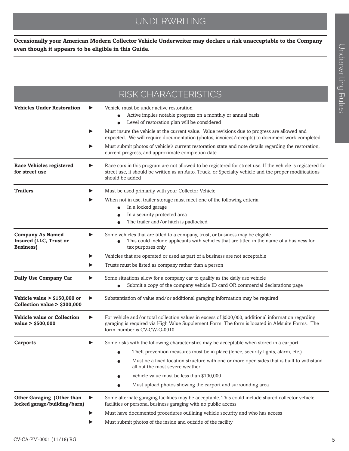### UNDERWRITING

**Occasionally your American Modern Collector Vehicle Underwriter may declare a risk unacceptable to the Company even though it appears to be eligible in this Guide.** 

|                                                                               | RISK CHARACTERISTICS                                                                                                                                                                                                                      |
|-------------------------------------------------------------------------------|-------------------------------------------------------------------------------------------------------------------------------------------------------------------------------------------------------------------------------------------|
| <b>Vehicles Under Restoration</b>                                             | Vehicle must be under active restoration<br>Active implies notable progress on a monthly or annual basis<br>Level of restoration plan will be considered                                                                                  |
|                                                                               | Must insure the vehicle at the current value. Value revisions due to progress are allowed and<br>expected. We will require documentation (photos, invoices/receipts) to document work completed                                           |
|                                                                               | Must submit photos of vehicle's current restoration state and note details regarding the restoration,<br>current progress, and approximate completion date                                                                                |
| <b>Race Vehicles registered</b><br>for street use                             | Race cars in this program are not allowed to be registered for street use. If the vehicle is registered for<br>street use, it should be written as an Auto, Truck, or Specialty vehicle and the proper modifications<br>should be added   |
| <b>Trailers</b>                                                               | Must be used primarily with your Collector Vehicle                                                                                                                                                                                        |
|                                                                               | When not in use, trailer storage must meet one of the following criteria:                                                                                                                                                                 |
|                                                                               | In a locked garage<br>In a security protected area                                                                                                                                                                                        |
|                                                                               | The trailer and/or hitch is padlocked                                                                                                                                                                                                     |
| <b>Company As Named</b><br><b>Insured (LLC, Trust or</b><br><b>Business</b> ) | Some vehicles that are titled to a company, trust, or business may be eligible<br>▶<br>This could include applicants with vehicles that are titled in the name of a business for<br>tax purposes only                                     |
|                                                                               | Vehicles that are operated or used as part of a business are not acceptable                                                                                                                                                               |
|                                                                               | Trusts must be listed as company rather than a person                                                                                                                                                                                     |
| Daily Use Company Car                                                         | Some situations allow for a company car to qualify as the daily use vehicle<br>Submit a copy of the company vehicle ID card OR commercial declarations page                                                                               |
| Vehicle value $>$ \$150,000 or<br>Collection value > \$300,000                | Substantiation of value and/or additional garaging information may be required<br>▶                                                                                                                                                       |
| <b>Vehicle value or Collection</b><br>value > \$500,000                       | For vehicle and/or total collection values in excess of \$500,000, additional information regarding<br>▶<br>garaging is required via High Value Supplement Form. The form is located in AMsuite Forms. The<br>form number is CV-CW-G-0010 |
| <b>Carports</b>                                                               | Some risks with the following characteristics may be acceptable when stored in a carport                                                                                                                                                  |
|                                                                               | Theft prevention measures must be in place (fence, security lights, alarm, etc.)                                                                                                                                                          |
|                                                                               | Must be a fixed location structure with one or more open sides that is built to withstand<br>all but the most severe weather                                                                                                              |
|                                                                               | Vehicle value must be less than \$100,000<br>$\bullet$                                                                                                                                                                                    |
|                                                                               | Must upload photos showing the carport and surrounding area                                                                                                                                                                               |
| <b>Other Garaging (Other than</b><br>locked garage/building/barn)             | Some alternate garaging facilities may be acceptable. This could include shared collector vehicle<br>▶<br>facilities or personal business garaging with no public access                                                                  |
|                                                                               | Must have documented procedures outlining vehicle security and who has access<br>▶                                                                                                                                                        |
|                                                                               | Must submit photos of the inside and outside of the facility                                                                                                                                                                              |
|                                                                               |                                                                                                                                                                                                                                           |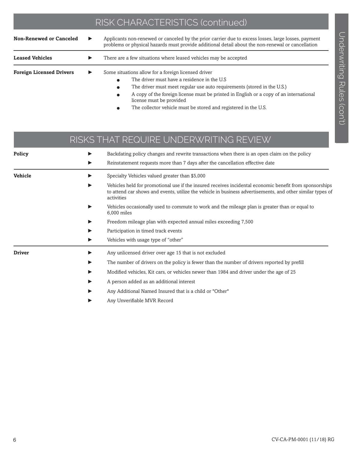### RISK CHARACTERISTICS (continued)

| <b>Non-Renewed or Canceled</b>                                                              | ▶ | Applicants non-renewed or canceled by the prior carrier due to excess losses, large losses, payment<br>problems or physical hazards must provide additional detail about the non-renewal or cancellation         |
|---------------------------------------------------------------------------------------------|---|------------------------------------------------------------------------------------------------------------------------------------------------------------------------------------------------------------------|
| <b>Leased Vehicles</b>                                                                      |   | There are a few situations where leased vehicles may be accepted                                                                                                                                                 |
| Some situations allow for a foreign licensed driver<br><b>Foreign Licensed Drivers</b><br>▶ |   | The driver must have a residence in the U.S<br>The driver must meet regular use auto requirements (stored in the U.S.)<br>A copy of the foreign licence must be printed in English as a copy of an international |

- $\bullet$  A copy of the foreign license must be printed in English or a copy of an international license must be provided
	- The collector vehicle must be stored and registered in the U.S.

|                | RISKS THAT REQUIRE UNDERWRITING REVIEW                                                                                                                                                                                              |
|----------------|-------------------------------------------------------------------------------------------------------------------------------------------------------------------------------------------------------------------------------------|
| <b>Policy</b>  | Backdating policy changes and rewrite transactions when there is an open claim on the policy<br>Reinstatement requests more than 7 days after the cancellation effective date                                                       |
| <b>Vehicle</b> | Specialty Vehicles valued greater than \$5,000                                                                                                                                                                                      |
|                | Vehicles held for promotional use if the insured receives incidental economic benefit from sponsorships<br>to attend car shows and events, utilize the vehicle in business advertisements, and other similar types of<br>activities |
|                | Vehicles occasionally used to commute to work and the mileage plan is greater than or equal to<br>6.000 miles                                                                                                                       |
|                | Freedom mileage plan with expected annual miles exceeding 7,500                                                                                                                                                                     |
|                | Participation in timed track events                                                                                                                                                                                                 |
|                | Vehicles with usage type of "other"                                                                                                                                                                                                 |
| <b>Driver</b>  | Any unlicensed driver over age 15 that is not excluded                                                                                                                                                                              |
|                | The number of drivers on the policy is fewer than the number of drivers reported by prefill                                                                                                                                         |
|                | Modified vehicles, Kit cars, or vehicles newer than 1984 and driver under the age of 25                                                                                                                                             |
|                | A person added as an additional interest                                                                                                                                                                                            |
|                | Any Additional Named Insured that is a child or "Other"                                                                                                                                                                             |
|                | Any Unverifiable MVR Record                                                                                                                                                                                                         |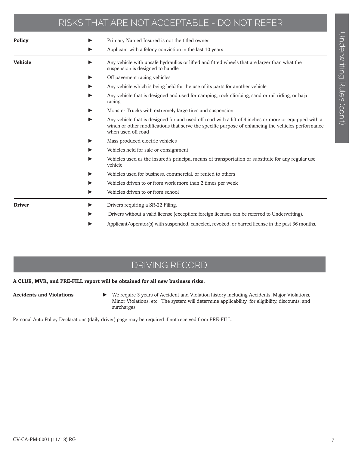### RISKS THAT ARE NOT ACCEPTABLE - DO NOT REFER

| Policy         | Primary Named Insured is not the titled owner<br>▶                                                                                                                                                                                     |
|----------------|----------------------------------------------------------------------------------------------------------------------------------------------------------------------------------------------------------------------------------------|
|                | Applicant with a felony conviction in the last 10 years<br>▶                                                                                                                                                                           |
| <b>Vehicle</b> | Any vehicle with unsafe hydraulics or lifted and fitted wheels that are larger than what the<br>▶<br>suspension is designed to handle                                                                                                  |
|                | Off pavement racing vehicles<br>▶                                                                                                                                                                                                      |
|                | Any vehicle which is being held for the use of its parts for another vehicle<br>▶                                                                                                                                                      |
|                | Any vehicle that is designed and used for camping, rock climbing, sand or rail riding, or baja<br>▶<br>racing                                                                                                                          |
|                | Monster Trucks with extremely large tires and suspension<br>▶                                                                                                                                                                          |
|                | Any vehicle that is designed for and used off road with a lift of 4 inches or more or equipped with a<br>▶<br>winch or other modifications that serve the specific purpose of enhancing the vehicles performance<br>when used off road |
|                | Mass produced electric vehicles<br>▶                                                                                                                                                                                                   |
|                | Vehicles held for sale or consignment<br>▶                                                                                                                                                                                             |
|                | Vehicles used as the insured's principal means of transportation or substitute for any regular use<br>▶<br>vehicle                                                                                                                     |
|                | Vehicles used for business, commercial, or rented to others<br>▶                                                                                                                                                                       |
|                | Vehicles driven to or from work more than 2 times per week<br>▶                                                                                                                                                                        |
|                | Vehicles driven to or from school<br>▶                                                                                                                                                                                                 |
| <b>Driver</b>  | Drivers requiring a SR-22 Filing.<br>▶                                                                                                                                                                                                 |
|                | Drivers without a valid license (exception: foreign licenses can be referred to Underwriting).                                                                                                                                         |
|                | Applicant/operator(s) with suspended, canceled, revoked, or barred license in the past 36 months.<br>▶                                                                                                                                 |

### DRIVING RECORD

#### **A CLUE, MVR, and PRE-FILL report will be obtained for all new business risks.**

Ï

**Accidents and Violations** ► We require 3 years of Accident and Violation history including Accidents, Major Violations, Minor Violations, etc. The system will determine applicability for eligibility, discounts, and surcharges.

Personal Auto Policy Declarations (daily driver) page may be required if not received from PRE-FILL.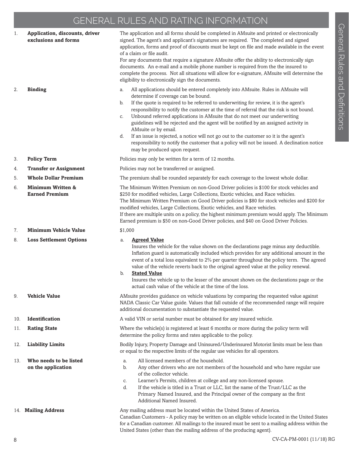### GENERAL RULES AND RATING INFORMATION

1. **Application, discounts, driver** The application and all forms should be completed in AMsuite and printed or electronically

|     | exclusions and forms                                  | signed. The agent's and applicant's signatures are required. The completed and signed<br>application, forms and proof of discounts must be kept on file and made available in the event<br>of a claim or file audit.<br>For any documents that require a signature AMsuite offer the ability to electronically sign<br>documents. An e-mail and a mobile phone number is required from the the insured to<br>complete the process. Not all situations will allow for e-signature, AMsuite will determine the<br>eligibility to electronically sign the documents.                                                                                                                                                                                                |
|-----|-------------------------------------------------------|------------------------------------------------------------------------------------------------------------------------------------------------------------------------------------------------------------------------------------------------------------------------------------------------------------------------------------------------------------------------------------------------------------------------------------------------------------------------------------------------------------------------------------------------------------------------------------------------------------------------------------------------------------------------------------------------------------------------------------------------------------------|
| 2.  | <b>Binding</b>                                        | All applications should be entered completely into AMsuite. Rules in AMsuite will<br>a.<br>determine if coverage can be bound.<br>If the quote is required to be referred to underwriting for review, it is the agent's<br>b.<br>responsibility to notify the customer at the time of referral that the risk is not bound.<br>Unbound referred applications in AMsuite that do not meet our underwriting<br>C.<br>guidelines will be rejected and the agent will be notified by an assigned activity in<br>AMsuite or by email.<br>If an issue is rejected, a notice will not go out to the customer so it is the agent's<br>d.<br>responsibility to notify the customer that a policy will not be issued. A declination notice<br>may be produced upon request. |
| 3.  | <b>Policy Term</b>                                    | Policies may only be written for a term of 12 months.                                                                                                                                                                                                                                                                                                                                                                                                                                                                                                                                                                                                                                                                                                            |
| 4.  | <b>Transfer or Assignment</b>                         | Policies may not be transferred or assigned.                                                                                                                                                                                                                                                                                                                                                                                                                                                                                                                                                                                                                                                                                                                     |
| 5.  | <b>Whole Dollar Premium</b>                           | The premium shall be rounded separately for each coverage to the lowest whole dollar.                                                                                                                                                                                                                                                                                                                                                                                                                                                                                                                                                                                                                                                                            |
| 6.  | <b>Minimum Written &amp;</b><br><b>Earned Premium</b> | The Minimum Written Premium on non-Good Driver policies is \$100 for stock vehicles and<br>\$250 for modified vehicles, Large Collections, Exotic vehicles, and Race vehicles.<br>The Minimum Written Premium on Good Driver policies is \$80 for stock vehicles and \$200 for<br>modified vehicles, Large Collections, Exotic vehicles, and Race vehicles.<br>If there are multiple units on a policy, the highest minimum premium would apply. The Minimum<br>Earned premium is \$50 on non-Good Driver policies, and \$40 on Good Driver Policies.                                                                                                                                                                                                            |
| 7.  | <b>Minimum Vehicle Value</b>                          | \$1,000                                                                                                                                                                                                                                                                                                                                                                                                                                                                                                                                                                                                                                                                                                                                                          |
| 8.  | <b>Loss Settlement Options</b>                        | <b>Agreed Value</b><br>a.<br>Insures the vehicle for the value shown on the declarations page minus any deductible.<br>Inflation guard is automatically included which provides for any additional amount in the<br>event of a total loss equivalent to 2% per quarter throughout the policy term. The agreed<br>value of the vehicle reverts back to the original agreed value at the policy renewal.<br><b>Stated Value</b><br>b.<br>Insures the vehicle up to the lesser of the amount shown on the declarations page or the<br>actual cash value of the vehicle at the time of the loss.                                                                                                                                                                     |
| 9.  | <b>Vehicle Value</b>                                  | AMsuite provides guidance on vehicle valuations by comparing the requested value against<br>NADA Classic Car Value guide. Values that fall outside of the recommended range will require<br>additional documentation to substantiate the requested value.                                                                                                                                                                                                                                                                                                                                                                                                                                                                                                        |
| 10. | Identification                                        | A valid VIN or serial number must be obtained for any insured vehicle.                                                                                                                                                                                                                                                                                                                                                                                                                                                                                                                                                                                                                                                                                           |
| 11. | <b>Rating State</b>                                   | Where the vehicle(s) is registered at least 6 months or more during the policy term will<br>determine the policy forms and rates applicable to the policy.                                                                                                                                                                                                                                                                                                                                                                                                                                                                                                                                                                                                       |
| 12. | <b>Liability Limits</b>                               | Bodily Injury, Property Damage and Uninsured/Underinsured Motorist limits must be less than<br>or equal to the respective limits of the regular use vehicles for all operators.                                                                                                                                                                                                                                                                                                                                                                                                                                                                                                                                                                                  |
| 13. | Who needs to be listed<br>on the application          | All licensed members of the household.<br>a.<br>b.<br>Any other drivers who are not members of the household and who have regular use<br>of the collector vehicle.<br>Learner's Permits, children at college and any non-licensed spouse.<br>C.<br>If the vehicle is titled in a Trust or LLC, list the name of the Trust/LLC as the<br>d.<br>Primary Named Insured, and the Principal owner of the company as the first<br>Additional Named Insured.                                                                                                                                                                                                                                                                                                            |
|     | 14. Mailing Address                                   | Any mailing address must be located within the United States of America.<br>Canadian Customers - A policy may be written on an eligible vehicle located in the United States<br>for a Canadian customer. All mailings to the insured must be sent to a mailing address within the<br>United States (other than the mailing address of the producing agent).                                                                                                                                                                                                                                                                                                                                                                                                      |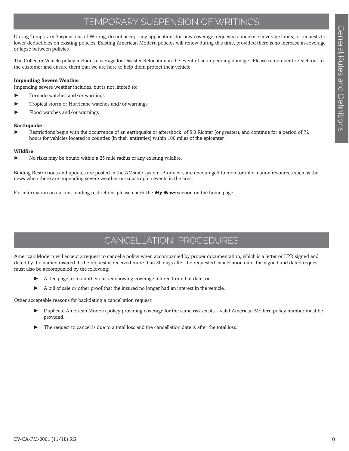### TEMPORARY SUSPENSION OF WRITINGS

During Temporary Suspensions of Writing, do not accept any applications for new coverage, requests to increase coverage limits, or requests to lower deductibles on existing policies. Existing American Modern policies will renew during this time, provided there is no increase in coverage or lapse between policies.

The Collector Vehicle policy includes coverage for Disaster Relocation in the event of an impending damage. Please remember to reach out to the customer and ensure them that we are here to help them protect their vehicle.

#### **Impending Severe Weather**

Impending severe weather includes, but is not limited to:

- ► Tornado watches and/or warnings
- Tropical storm or Hurricane watches and/or warnings
- Flood watches and/or warnings

#### **Earthquake**

Restrictions begin with the occurrence of an earthquake or aftershock, of 5.0 Richter (or greater), and continue for a period of 72 hours for vehicles located in counties (in their entireties) within 100 miles of the epicenter.

#### **Wildfire**

No risks may be bound within a 25 mile radius of any existing wildfire.

Binding Restrictions and updates are posted in the AMsuite system. Producers are encouraged to monitor information resources such as the news when there are impending severe weather or catastrophic events in the area.

For information on current binding restrictions please check the *My News* section on the home page.

### CANCELLATION PROCEDURES

American Modern will accept a request to cancel a policy when accompanied by proper documentation, which is a letter or LPR signed and dated by the named insured. If the request is received more than 30 days after the requested cancellation date, the signed and dated request must also be accompanied by the following:

- ► A dec page from another carrier showing coverage inforce from that date; or
- ► A bill of sale or other proof that the insured no longer had an interest in the vehicle.

Other acceptable reasons for backdating a cancellation request:

- ► Duplicate American Modern policy providing coverage for the same risk exists valid American Modern policy number must be provided.
- The request to cancel is due to a total loss and the cancellation date is after the total loss.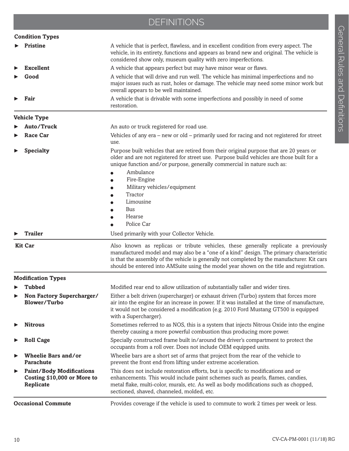### DEFINITIONS

| <b>Condition Types</b>                                                      |                                                                                                                                                                                                                                                                                                                                                                                           |
|-----------------------------------------------------------------------------|-------------------------------------------------------------------------------------------------------------------------------------------------------------------------------------------------------------------------------------------------------------------------------------------------------------------------------------------------------------------------------------------|
| <b>Pristine</b>                                                             | A vehicle that is perfect, flawless, and in excellent condition from every aspect. The<br>vehicle, in its entirety, functions and appears as brand new and original. The vehicle is<br>considered show only, museum quality with zero imperfections.                                                                                                                                      |
| <b>Excellent</b>                                                            | A vehicle that appears perfect but may have minor wear or flaws.                                                                                                                                                                                                                                                                                                                          |
| Good                                                                        | A vehicle that will drive and run well. The vehicle has minimal imperfections and no<br>major issues such as rust, holes or damage. The vehicle may need some minor work but<br>overall appears to be well maintained.                                                                                                                                                                    |
| Fair                                                                        | A vehicle that is drivable with some imperfections and possibly in need of some<br>restoration.                                                                                                                                                                                                                                                                                           |
| <b>Vehicle Type</b>                                                         |                                                                                                                                                                                                                                                                                                                                                                                           |
| Auto/Truck                                                                  | An auto or truck registered for road use.                                                                                                                                                                                                                                                                                                                                                 |
| <b>Race Car</b>                                                             | Vehicles of any era – new or old – primarily used for racing and not registered for street<br>use.                                                                                                                                                                                                                                                                                        |
| <b>Specialty</b>                                                            | Purpose built vehicles that are retired from their original purpose that are 20 years or<br>older and are not registered for street use. Purpose build vehicles are those built for a<br>unique function and/or purpose, generally commercial in nature such as:<br>Ambulance<br>Fire-Engine<br>Military vehicles/equipment<br>Tractor<br>Limousine<br><b>Bus</b><br>Hearse<br>Police Car |
| <b>Trailer</b>                                                              | Used primarily with your Collector Vehicle.                                                                                                                                                                                                                                                                                                                                               |
| <b>Kit Car</b>                                                              | Also known as replicas or tribute vehicles, these generally replicate a previously<br>manufactured model and may also be a "one of a kind" design. The primary characteristic<br>is that the assembly of the vehicle is generally not completed by the manufacturer. Kit cars<br>should be entered into AMSuite using the model year shown on the title and registration.                 |
| <b>Modification Types</b>                                                   |                                                                                                                                                                                                                                                                                                                                                                                           |
| Tubbed                                                                      | Modified rear end to allow utilization of substantially taller and wider tires.                                                                                                                                                                                                                                                                                                           |
| Non Factory Supercharger/<br>Blower/Turbo                                   | Either a belt driven (supercharger) or exhaust driven (Turbo) system that forces more<br>air into the engine for an increase in power. If it was installed at the time of manufacture,<br>it would not be considered a modification (e.g. 2010 Ford Mustang GT500 is equipped<br>with a Supercharger).                                                                                    |
| <b>Nitrous</b>                                                              | Sometimes referred to as NOS, this is a system that injects Nitrous Oxide into the engine<br>thereby causing a more powerful combustion thus producing more power.                                                                                                                                                                                                                        |
| <b>Roll Cage</b>                                                            | Specially constructed frame built in/around the driver's compartment to protect the<br>occupants from a roll over. Does not include OEM equipped units.                                                                                                                                                                                                                                   |
| <b>Wheelie Bars and/or</b><br><b>Parachute</b>                              | Wheelie bars are a short set of arms that project from the rear of the vehicle to<br>prevent the front end from lifting under extreme acceleration.                                                                                                                                                                                                                                       |
| <b>Paint/Body Modifications</b><br>Costing \$10,000 or More to<br>Replicate | This does not include restoration efforts, but is specific to modifications and or<br>enhancements. This would include paint schemes such as pearls, flames, candies,<br>metal flake, multi-color, murals, etc. As well as body modifications such as chopped,<br>sectioned, shaved, channeled, molded, etc.                                                                              |
| <b>Occasional Commute</b>                                                   | Provides coverage if the vehicle is used to commute to work 2 times per week or less.                                                                                                                                                                                                                                                                                                     |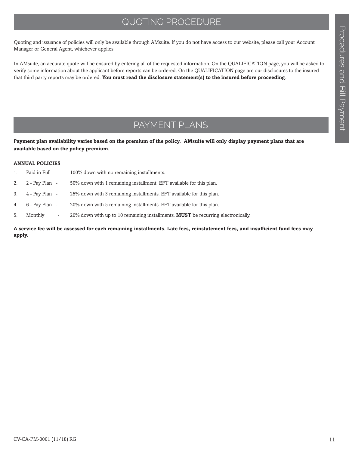### QUOTING PROCEDURE

Quoting and issuance of policies will only be available through AMsuite. If you do not have access to our website, please call your Account Manager or General Agent, whichever applies.

In AMsuite, an accurate quote will be ensured by entering all of the requested information. On the QUALIFICATION page, you will be asked to verify some information about the applicant before reports can be ordered. On the QUALIFICATION page are our disclosures to the insured that third party reports may be ordered. **You must read the disclosure statement(s) to the insured before proceeding**.

### PAYMENT PLANS

**Payment plan availability varies based on the premium of the policy. AMsuite will only display payment plans that are available based on the policy premium.** 

#### **ANNUAL POLICIES**

|    | Paid in Full                        | 100% down with no remaining installments.                                                  |
|----|-------------------------------------|--------------------------------------------------------------------------------------------|
|    | 2. $2 - Pay Plan -$                 | 50% down with 1 remaining installment. EFT available for this plan.                        |
| 3. | 4 - Pay Plan -                      | 25% down with 3 remaining installments. EFT available for this plan.                       |
|    | 4. $6 - Pay Plan -$                 | 20% down with 5 remaining installments. EFT available for this plan.                       |
| 5. | Monthly<br>$\overline{\phantom{a}}$ | $20\%$ down with up to 10 remaining installments. <b>MUST</b> be recurring electronically. |
|    |                                     |                                                                                            |

#### **A service fee will be assessed for each remaining installments. Late fees, reinstatement fees, and insufficient fund fees may apply.**